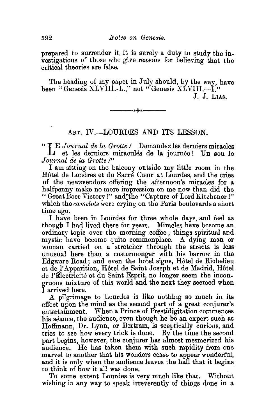prepared to surrender it, it is surely a duty to study the investigations of those who give reasons for believing that the critical theories are false.

The heading of my paper in July should, by the way, have been "Genesis XLVIII.-L.," not "Genesis XLVIII.--I." J. J. LIAS.

⊸∱⊸⊳

ART. IV.-LOURDES AND ITS LESSON.

" **JE** Journal de la Grotte! Demandez les derniers miracles et les derniers miracules de la joumee! Un sou le *Journal de* la *Grotte !"* 

I am sitting on the balcony outside my little room in the Hôtel de Londres et du Sacré Cœur at Lourdes, and the cries of the newsvendors offering the afternoon's miracles for a halfpenny make no more impression on me now than did the "Great Boer Victory!" and: the "Capture of Lord Kitchener !" which the *camelots* were crying on the Paris boulevards a short time ago.

I have been in Lourdes for three whole days, and feel as though I had lived there for years. Miracles have become an ordinary topic over the morning coffee ; things spiritual and mystic have become quite commonplace. A dying man or woman carried on a stretcher through the streets is less unusual here than a costermonger with his barrow in the Edgware Road ; and even the hotel signs, Hotel de Richelieu et de l'Apparition, Hôtel de Saint Joseph et de Madrid, Hôtel de l'Electricité et du Saint Esprit, no longer seem the incongruous mixture of this world and the next they seemed when I arrived here.

A pilgrimage to Lourdes is like nothing so much in its effect upon the mind as the second part of a great conjurer's entertainment. When a Prince of Prestidigitation commences his séance, the audience, even though he be an expert such as Hoffmann, Dr. Lynn, or Bertram, is sceptically curious, and tries to see how every trick is done. By the time the second part begins, however, the conjurer has almost mesmerized his audience. He has taken them with such rapidity from one marvel to another that his wonders cease to appear wonderful, and it is only when the audience leaves the hall that it begins to think of how it all was done.

To some extent Lourdes is very much like that. Without wishing in any way to speak irreverently of things done in a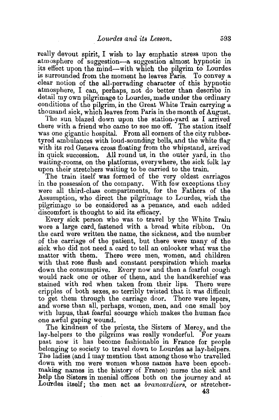really devout spirit, I wish to lay emphatic stress upon the atmosphere of suggestion-a suggestion almost hypnotic in its effect upon the mind-with which the pilgrim to Lourdes is surrounded from the moment he leaves Paris. To convey a .clear notion of the all-pervading character of this hypnotic atmosphere, I can, perhaps, not do better than descnbe in detail my own pilgrimage to Lourdes, made under the ordinary .conditions of the pilgrim, in the Great White Train carrying a thousand sick, whtch leaves from Paris in the month of August.

The sun blazed down upon the station-yard as I arrived there with a friend who came to see me off. The station itself was one gigantic hospital. From all corners of the city rubbertyred ambulances with loud-sounding bells, and the white flag with its red Geneva cross floating from the whipstand, arrived in quick succession. All round us, in the outer yard, in the waiting-rooms, on the platforms, everywhere, the sick folk lay upon their stretchers waiting to be carried to the train.

The train itself was formed of the very oldest carriages in the possession of the company. With few exceptions they were all third-class compartments, for the Fatners of the Assumption, who direct the pilgrimage to Lourdes, wish the pilgrimage to be considered as a penance, and each added discomfort is thought to aid its efficacy.

Every sick person who was to travel by the White Train wore a large card, fastened with a broad white ribbon. On the card were written the name, the sickness, and the number of the carriage of the patient, but there were many of the sick who did not need a card to tell an onlooker what was the matter with them. There were men, women, and children with that rose flush and constant perspiration which marks down the consumptive. Every now and then a fearful cough would rack one or other of them, and the handkerchief was stained with red when taken from their lips. There were cripples of both sexes, so terribly twisted that it was difficult to get them through the carriage door. There were lepers, and worse than all, perhaps, women, men, and one small boy with lupus, that fearful scourge which makes the human face one awful gaping wound.

The kindness of the priests, the Sisters of Mercy, and the lay-helpers to the pilgrims was really wonderful. For years past now it has become fashionable in France for people belonging to society to travel down to Lourdes as lay-helpers. The ladies (and I may mention that among those who travelled down with me were women whose names have been epochmaking names in the history of France) nurse the sick and help the Sisters in menial offices both on the journey and at Lourdes itself; the men act as *brancardiers*, or stretcher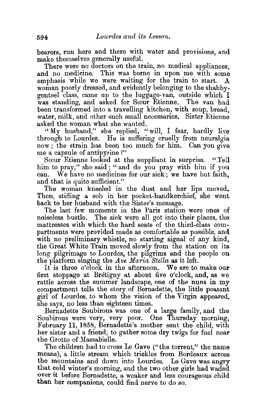bearers, run here and there with water and provisions, and make themselves generally useful.

There were no doctors on the train, no medical appliances, and no medicine. This was borne in upon me with some emphasis while we were waiting for the train to start. A woman poorly dressed, and evidently belonging to the shabby. genteel class, came up to the luggage-van, outside which I was standing, and asked for Sœur Etienne. The van had been transformed into a travelling kitchen, with soup, bread, water, milk, and other such small necessaries. Sister Etienne asked the woman what she wanted.

"My husband," she replied, "will, I fear, hardly live through to Lourdes. He is suffering cruelly from neuralgia now; the strain has been too much for him. Can you give me a capsule of antipyrine ?"

Sœur Etienne looked at the suppliant in surprise. "Tell him to pray," she said; "and do you pray with him if you can. We have no medicines for our sick; we have but faith, and that is quite sufficient."

The woman kneeled in the dust and her lips moved. Then, stifling a sob in her pocket-handkerchief, she went back to her husband with the Sister's message.

The last few moments in the Paris station were ones of noiseless bustle. The sick were all got into their places, the mattresses with which the hard seats of the third-class compartments were provided made as comfortable as possible; and with no preliminary whistle, no starting signal of any kind. the Great White Train moved slowly from the station on its long pilgrimage to Lourdes, the pilgrims and the people on the platform smging the *Ave 1Waria Stella* as it left.

It is three o'clock in the afternoon. We are to make our first stoppage at Bretigny at about five o'clock, and, as we rattle across the summer landscape, one of the nuns in my compartment tells the story of Bernadette, the little peasant girl of ·Lourdes, to whom the vision of the Virgin appeared, she says, no less than eighteen times.

Bernadette Soubirous was one of a large family, and the Soubirous were very, very poor. One Thursday morning, February 11, 1858, Bernadette's mother sent the child, with her sister and a friend, to gather some dry twigs for fuel near the Grotto of Massabielle.

The children had to cross Le Gave ("the torrent," the name means), a little stream which trickles from Bordeaux across the mountains and down into Lourdes. Le Gave was angry that cold winter's morning, and the two other girls had waded over it before Bernadette, a weaker and less courageous child than her companions, could find nerve to do so.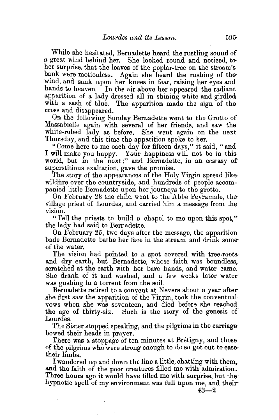While she hesitated, Bernadette heard the rustling sound of a great wind behind her. She looked round and noticed, toher surprise, that the leaves of the poplar-tree on the stream's bank were motionless. Again she heard the rushing of thewind, and sank upon her knees in fear, raising her eyes and hands to heaven. In the air above her appeared the radiant apparition of a lady dressed all in shining white and girdled. with a sash of blue. The apparition made the sign of the cross and disappeared.

On the following Sunday Bernadette went to the Grotto of Massabielle again with several of her friends, and saw the white-robed lady as before. She went again on the next Thursday, and this time the apparition spoke to her.

"Come here to me each day for fifteen days," it said, "and I will make you happy. Your happiness will not be in this· world, but in the next;" and Bernadette, in an ecstasy of superstitious exaltation, gave the promise.

The story of the appearances of the Holy Virgin spread likewildfire over the countryside, and hundreds of people accompanied little Bernadette upon her journeys to the grotto.

On February 23 the child went to the Abbe Peyramale, the village priest of Lourdes, and carried him a message from the vision.

"Tell the priests to build a chapel to me upon this spot,". the lady had said to Bernadette.

On February 25, two days after the message, the apparition bade Bernadette bathe her face in the stream and drink someof the water.

The vision had pointed to a spot covered with tree-rootsand dry earth, but Bernadette, whose faith was boundless, scratched at the earth with her bare hands, and water came. She drank of it and washed, and a few weeks later water was gushing in a torrent from the soil.

Bernadette retired to a convent at Nevers about a year aftershe first saw the apparition of the Virgin, took the conventual vows when she was seventeen, and died before she reached the age of thirty-six. Such is the story of the genesis of Lourdes.

The Sister stopped speaking, and the pilgrims in the carriage· bowed their heads in prayer.

There was a stoppage of ten minutes at Bretigny, and those of the pilgrims who were strong enough to do so got out to ease· their limbs.

I wandered up and down the line a little, chatting with them,. and the faith of the poor creatures filled me with admiration. Three hours ago it would have filled me with surprise, but the hypnotic spell of my environment was full upon me, and their

43-2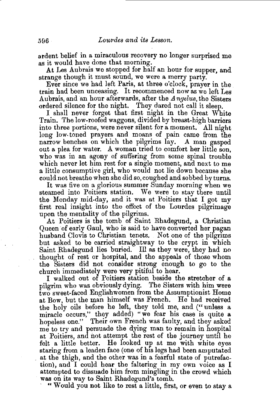ardent belief in a miraculous recovery no longer surprised me as it would have done that morning.

At Les Aubrais we stopped for half an hour for supper, and strange though it must sound, we were a merry party.

Ever since we had left Paris, at three o'clock, prayer in the train had been unceasing. It recommenced now as we left Les Aubrais, and an hour afterwards, after the *Angelus,* the Sisters ordered silence for the night. They dared not call it sleep.

I shall never forget that first night in the Great White Train. The low-roofed waggons, divided by breast-high barriers into three portions, were never silent for a moment. All night long low. toned prayers and moans of pain came from the narrow benches on which the pilgrims lay. A man gasped out a plea for water. A woman tried to comfort her little son. who was in an agony of suffering from some spinal trouble which never let him rest for a single moment, and next to me a little consumptive girl, who would not lie down because she could not breathe when she did so, coughed and sobbed by turns.

It was five on a glorious summer Sunday morning when we steamed into Poitiers station. We were to stay there until the Monday mid-day, and it was at Poitiers that I got my first real insight into the effect of the Lourdes pilgrimage upon the mentality of the pilgrims.

At Poitiers is the tomb of Saint Rhadegund, a Christian Queen of early Gaul, who is said to have converted her pagan husband Clovis to Christian tenets. Not one of the pilgrims but asked to be carried straightway to the crypt in which Saint Rhadegund lies buried. Ill as they were, they had no thought of rest or hospital, and the appeals of those whom the Sisters did not consider strong enough to go to the church immediately were very pitiful to hear.

I walked out of Poitiers station beside the stretcher of a pilgrim who was obviously dying. The Sisters with him were two sweet-faced Englishwomen from the Assumptionist Home at Bow, but the man himself was French. He had received the holy oils before he left, they told me, and ("unless a miracle occurs," they added) "we fear his case is quite a hopeless one." Their own French was faulty, and they asked me to try and persuade the dying man to remain in hospital at Poitiers, and not attempt the rest of the journey until he felt a little better. He looked up at me with white eyes staring from a leaden face (one of his legs had been amputated at the thigh, and the other was in a fearful state of putrefaction), and I could hear the faltering in my own voice as I attempted to dissuade him from mingling in the crowd which was on its way to Saint Rhadegund's tomb.

" Would you not like to rest a little, first, or even to stay a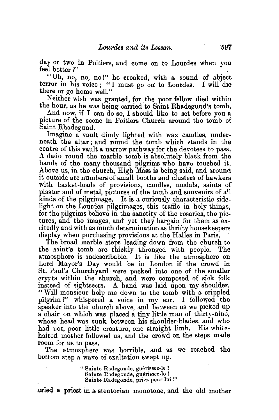day or two in Poitiers, and come on to Lourdes when you feel better ?"

"Oh, no, no, no!" he croaked, with a. sound of abject terror in his voice ; "I must go on: to Lourdes. I will die there or go home well."

Neither wish was granted, for the poor fellow died within the hour, as he was being carried to Saint Rhadegund's tomb.

And now, if I can do so, I should like to set before you a picture of the scene in Poitiers Church around the tomb of Saint Rhadegund.

Imagine a vault dimly lighted with wax candles, underneath the altar; and round the tomb which stands in the centre of this vault a narrow pathway for the devotees to pass. A dado round the marble tomb is absolutely black from the hands of the many thousand pilgrims who have touched it. Above us, in the church, High Mass is being said, and around it outside are numbers of small booths and clusters of hawkers with basket-loads of provisions, candles, medals, saints of plaster and of metal, pictures of the tomb and souvenirs of all kinds of the pilgrimage. It is a curiously characteristic sidelight on the Lourdes pilgrimages, this traffic in holy things, for the pilgrims believe in the sanctity of the rosaries, the pictures, and the images, and yet they bargain for them as  $ex$ citedly and with as much determination as thrifty housekeepers display when purchasing provisions at the Halles in Paris.

The broad marble steps leading down from the church to the saint's tomb are thickly thronged with people. The atmosphere is indescribable. It is like the atmosphere on Lord Mayor's Day would be in London if the crowd in St. Paul's Churchyard ·were packed into one of the smaller crypts within the church, and were composed of sick folk instead of sightseers. A hand was laid upon my shoulder. " Will monsieur help me down to the tomb with a crippled pilgrim?" whispered a voice in my ear. I followed the speaker into the church above, and between us we picked up a chair on which was placed a tiny little man of thirty-nine, whose head was sunk between his shoulder-blades, and who had not, poor little creature, one straight limb. His whitehaired mother followed us, and the crowd on the steps made room for us to pass.

The atmosphere was horrible, and as we reached the bottom step a wave of exaltation swept up.

> " Sainte Radegonde, guérissez-le ! Sainte Radegonde, guerissez-le I Sainte Radegonde, priez pour lui !''

eried a priest in a stentorian monotone, and the old mother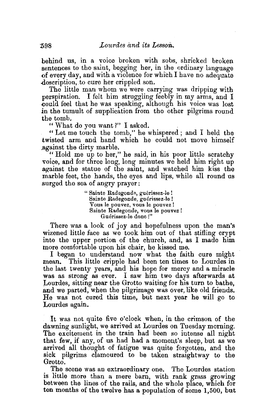behind us, in a voice broken with sobs, shrieked broken sentences to the saint, begging her, in the ordinary language of every day, and with a violence for which I have no adequate description, to cure her crippled son.

The little man whom we were carrying was dripping with perspiration. I felt him struggling feebly in my arms, and I eould feel that he was speaking, although his voice was lost in the tumult of supplication from the other pilgrims round the tomb.<br>"What do you want?" I asked.

" Let me touch the tomb," he whispered; and I held the twisted arm and hand which he could not move himself .against the dirty marble.

" Hold me up to her," he said, in his poor little scratchy voice, and for three long, long minutes we held him right up against the statue of the saint, and watched him kiss the marble feet, the hands, the eyes and lips, while all round us surged the sea of angry prayer:

> " Sainte Radegonde, guérissez-le ! Sainte Radegonde, guérissez-le ! Vous le pouvez, vous Ie pouvez! Sainte Radegonde, vous le pouvez ! Guerissez-le dono !"

There was a look of joy and hopefulness upon the man's wizened little face as we took him out of that stifling crypt into the upper portion of the church, and, as I made him more comfortable upon his chair, he kissed me.

I began to understand now what the faith cure might mean. This little cripple had been ten times to Lourdes in the last twenty years, and his hope for mercy and a miracle was as strong as ever. I saw him two days afterwards at Lourdes, sitting near the Grotto waiting for his turn to bathe, and we parted, when the pilgrimage was over, like old friends. He was not cured this time, but next year he will go to Lourdes again.

It was not quite five o'clock when, in the crimson of the dawning sunlight, we arrived at Lourdes on Tuesday morning. The excitement in the train had been so intense all night that few, if any, of us had had a moment's sleep, but as we arrived all thought of fatigue was quite forgotten, and the sick pilgrims clamoured to be taken straightway to the Grotto.

The scene was an extraordinary one. The Lourdes station is little more than a mere barn, with rank grass growing between the lines of the rails, and the whole place, which for ten months of the twelve has a population of some 1,500, but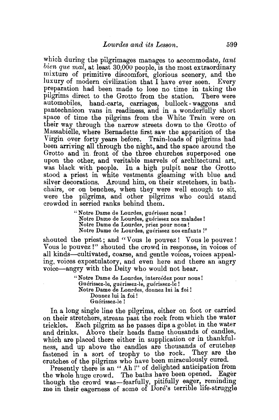which during the pilgrimages manages to accommodate, tant  $\{b~ie~ne~ma\}$ , at least 30,000 people, is the most extraordinary mixture of primitive discomfort, glorious scenery, and the luxury of modern civilization that I have ever seen. Every preparation had been made to lose no time in taking the pilgrims direct to the Grotto from the station. There were automobiles, hand-carts, carriages, bullock- waggons and pantechnicon vans in readiness, and in a wonderfully short space of time the pilgrims from the White Train were on their way through the narrow streets down to the Grotto of Massabielle, where Bernadette first saw the apparition of the Virgin over forty years before. Train-loads of pilgrims had been arriving all through the night, and the space around the Grotto and in front of the three churches superposed one upon the other, and veritable marvels of architectural art, was black with people. In a high pulpit near the Grotto stood a priest in white vestments gfeaming with blue and silver decorations. Around him, on their stretchers, in bathchairs, or on benches, when they were well enough to sit, were the pilgrims, and other pilgrims who could stand crowded in serried ranks behind them.

> "Notre Dame de Lourdes, guérissez nous ! Notre Dame de Lourdes, guérissez nos malades! Notre Dame de Lourdes, priez pour nous ! Notre Dame de Lourdes, guérissez nos enfants !"

shouted the priest; and "Vous le pouvez! Vous le pouvez! Vous le pouvez !" shouted the crowd in response, in voices of all kinds-cultivated, coarse, and gentle voices, voices appealing, voices expostulatory, and even here and there an angry voice-angry with the Deity who would not hear.

> "Notre Dame de Lourdes, intercédez pour nous! Guérissez-le, guérissez-le, guérissez-le ! Notre Dame de Lourdes, donnez lui Ia foi! Donnez lui la foi ! Guérissez-le!

In a long single line the pilgrims, either on foot or carried on their stretchers, stream past the rock from which the water trickles. Each pilgrim as he passes dips a goblet in the water and drinks. Above their. heads flame thousands of candles, which are placed there either in supplication or in thankfulness, and up above the candles are thousands of crutches fastened in a sort of trophy to the rock. They are the crutches of the pilgrims who have been miraculously cured.

Presently there is an " Ah !" of delighted anticipation from the whole huge crowd. The baths have been opened. Eager though the crowd was-fearfully, pitifully eager, reminding me in their eagerness of some of Dore's terrible life-struggle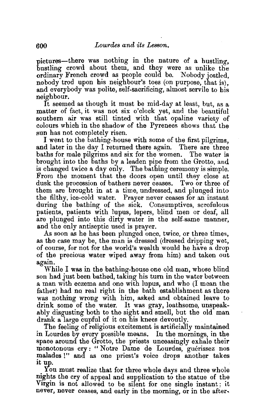pictures-there was nothing in the nature of a hustling. bustling crowd about them, and they were as unlike the ordinary French crowd as people could be. Nobody jostled, nobody trod upon his neighbour's toes (on purpose, that is), and everybody was polite, self-sacrificing, almost servile to his neighbour.

It seemed as though it must be mid-day at least, but, as a matter of fact, it was not six o'clock yet, and the beautiful southern air was still tinted with that opaline variety of colours which in the shadow of the Pyrenees shows that the sun has not completely risen.

I went to the bathing-house with some of the first pilgrims, and later in the day I returned there again. There are three baths for male pilgrims and six for the women. The water is brought into the baths by a leaden pipe from the Grotto, and is changed twice a day only. The bathing ceremony is simple. From the moment that the doors open until they close at dusk the procession of bathers never ceases. Two or three of them are brought in at a time, undressed, and plunged into the filthy, ice-cold water. Prayer never ceases for an instant during the bathing of the sick. Consumptives, scrofulous patients, patients with lupus, lepers, blind men or deaf, all are plunged into this dirty water in the self-same manner, and the only antiseptic used is prayer.

As soon as he has been plunged once, twice, or three times, as the case may be, the man is dressed (dressed dripping wet, of course, for not for the world's wealth would he have a drop of the precious water wiped away from him) and taken out again.

While I was in the bathing-house one old man, whose blind son had just been bathed, taking his turn in the water between a man with eczema and one with lupus, and who (I mean the father) had no real right in the bath establishment as there was nothing wrong with him, asked and obtained leave to drink some of the water. It was gray, loathsome, unspeakably disgusting both to the sight and smell, but the old man drank a large cupful of it on his knees devoutly.

The feeling of religious excitement is artificially maintained in Lourdes by every possible means. In the mornings, in the space around the Grotto, the priests unceasingly exhale their monotonous cry : " Notre Dame de Lourdes, guérissez nos malades !" and as one priest's voice drops another takes 1t up.

You must realize that for three whole days and three whole nights the cry of appeal and supplication to the statue of the Virgin is not allowed to be silent for one single instant; it never, never ceases, and early in the morning, or in the after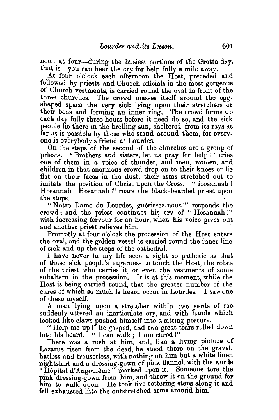noon at four-during the busiest portions of the Grotto day, that is—you can hear the cry for help fully a mile away.

At four o'clock each afternoon the Host, preceded and followed by priests and Church officials in the most gorgeous of Church vestments, is carried round the oval in front of the three churches. The crowd masses itself around the eggshaped space, the very sick lying upon their stretchers or their beds and forming an inner ring; The crowd forms up each day fully three hours before it need do so, and the sick people lie there in the broiling sun, sheltered from its rays us far as is possible by those who stand around them, for every. one is everybody's friend at Lourdes.

On the steps of the second of the churches are a group of priests. " Brothers and sisters, let us pray for help !" cries one of them in a voice of thunder, and men, women, and children in that enormous crowd drop on to their knees or lie flat on their faces in the dust, their arms stretched out to imitate the position of Christ upon the Cross. "Hosannah! Hosannah! Hosannah!" roars the black-bearded priest upon

the steps.<br>"Notre Dame de Lourdes, guérissez-nous!" responds the crowd; and the priest continues his cry of "Hosannah !" with increasing fervour for an hour, when his voice gives out and another priest relieves him.

Promptly at four o'clock the procession of the Host enters the oval, and the golden vessel is carried round the inner line of sick and up the steps of the cathedral.

I have never iu my life seen a sight so pathetic as that of those sick people's eagerness to touch the Host, the robes of the priest who carries it, or even the vestments of some subaltern in the procession. It is at this moment, while the Host is being earned round, that the greater number of the cures of which so much is beard occur in Lourdes. I saw one of these myself.

A man lying upon a stretcher within two yards of me suddenly uttered an inarticulate cry, and with hands which looked like claws pushed himself into a sitting posture.

"Help me up!" he gasped, and two great tears rolled down into his beard. "I can walk; I am cured!"

There was a rush at him, and, like a living picture of Lazarus risen from the dead, he stood there on the gravel, hatless and trouserless, with nothing on him but a white linen nightshirt and a dressing-gown of pink flannel, with the words "Hôpital d'Angoulême" marked upon it. Someone tore the pink dressing-gown from him, and threw it on the ground for him to walk upon. He took five tottering steps along it and fell exhausted into the outstretched arms around him.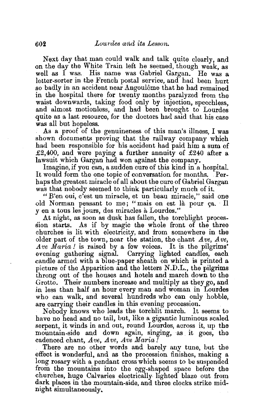Next day that man could walk and talk quite clearly, and on the day the White Train left he seemed, though weak, as well as I was. His name was Gabriel Gargan. He was a letter-sorter in the French postal service, and had been hurt so badly in an accident near Angoulême that he had remained in the hospital there for twenty months paralyzed from the waist downwards, taking food only by injection, speechless. and almost motionless, and had been brought to Lourdes quite as a last resource, for the doctors had said that his case

As a proof of the genuineness of this man's illness, I was shown documents proving that the railway company which had been responsible for his accident had paid him a sum of £2,400, and were paying a further annuity of £240 after a lawsuit which Gargan had won against the company.

Imagine, if you can, a sudden cure of this kind in a hospital. It would form the one topic of conversation for months. Perhaps the greatest miracle of all about the cure of Gabriel Gargan was that nobody seemed to think particularly much of it.

"E'en oui, c'est un miracle, et un beau miracle," said one old Norman peasant to me; "mais on est là pour ça. Il yen a tous les jours, des miracles a Lourdes."

At night, as soon as dusk has fallen, the torchlight procession starts. As if by magic the whole front of the three churches is lit with electricity, and from somewhere in the older part of the town, near the station, the chant *Ave, Ave, A·ve Maria!* is raised by a few voices. It is the pilgrims' evening gathering signal. Carrying lighted candles, each candle armed with a blue-paper sheath on which is printed a picture of the Apparition and the letters N.D.L., the pilgrims throng out of the houses and hotels and march down to the Grotto. Their numbers increase and multiply as they go, and in less than half an hour every man and woman in Lourdes who can walk, and several hundreds who can only hobble, are carrying their candles in this evening procession.

Nobody knows who leads the torchlit march. It seems to have no head and no tail, but, like a gigantic luminous scaled serpent, it winds in and out, round Lourdes, across it, up the mountain-side and down again, singing, as it goes, the

cadenced chant, Ave~ *Ave, Ave Maria!* . There are no other words and barely any tune, but the effect is wonderful, and as the procession finishes, making a long rosary with a pendant cross which seems to be suspended from the mountains into the egg-shaped space before the churches, huge Calvaries electrically lighted blaze out from dark places in the mountain-side, and three clocks strike midnight simultaneously.